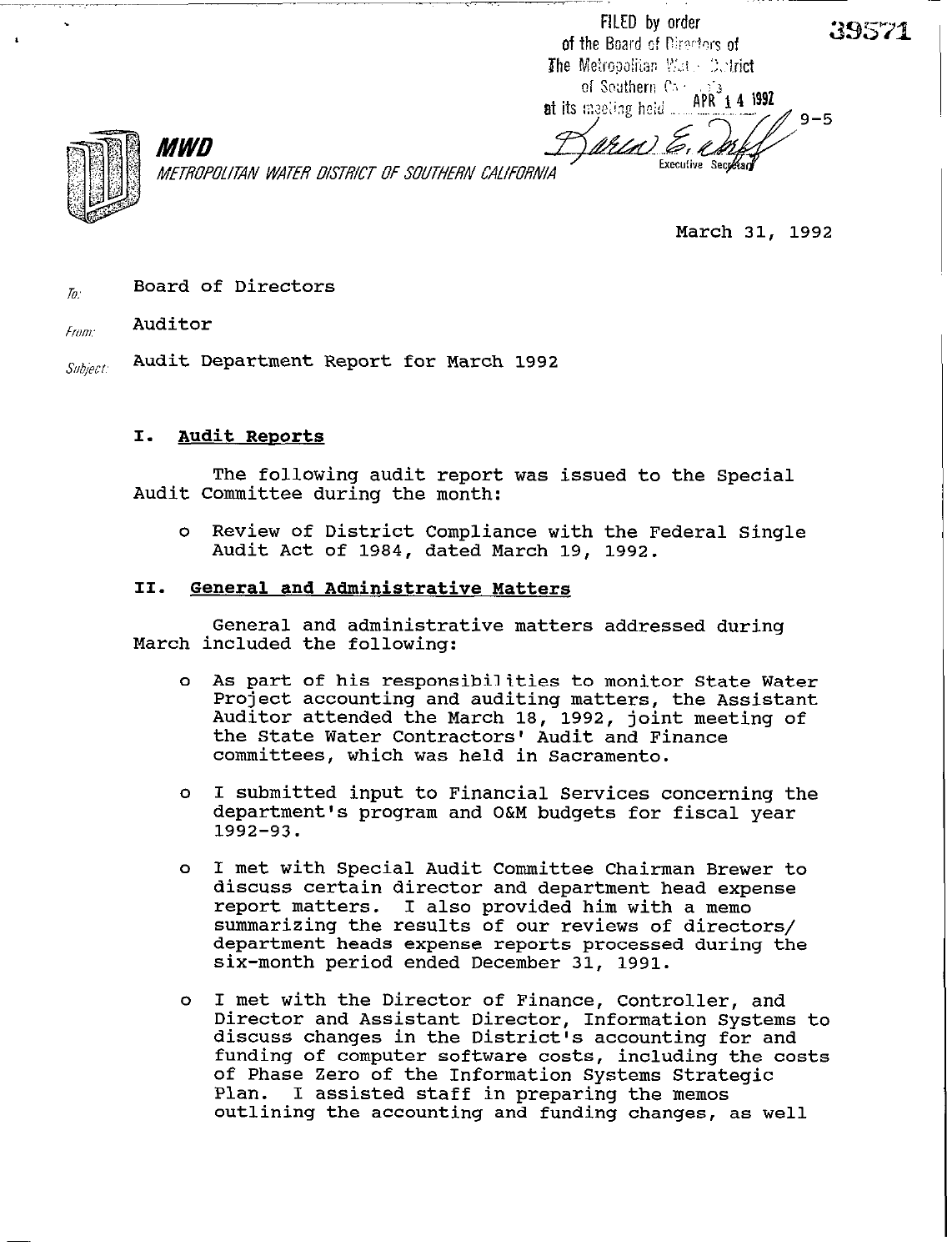FILED by order of the Board of Directors of The Metropolitan Wet - Detrict of Southern Care APR<sup>3</sup>14 1992 at its meeting held.

Executive Secretari

Mr Let



**MWD** METROPOLITAN WATER DISTRICT OF SOUTHERN CALIFORNIA

March 31, 1992

Board of Directors  $\bar{m}$ 

Auditor From:

Audit Department Report for March 1992 Subject:

### I. Audit Reports

The following audit report was issued to the Special Audit Committee during the month:

0 Review of District Compliance with the Federal Single Audit Act of 1984, dated March 19, 1992.

## **II.** General and Administrative Matters

General and administrative matters addressed during March included the following:

- o As part of his responsibilities to monitor State Water Project accounting and auditing matters, the Assistant Auditor attended the March 18, 1992, joint meeting of the State Water Contractors' Audit and Finance committees, which was held in Sacramento.
- 0 I submitted input to Financial Services concerning the department's program and O&M budgets for fiscal year 1992-93.
- **<sup>0</sup>**I met with Special Audit Committee Chairman Brewer to discuss certain director and department head expense report matters. I also provided him with a memo summarizing the results of our reviews of directors/ department heads expense reports processed during the six-month period ended December 31, 1991.
- **<sup>0</sup>**I met with the Director of Finance, Controller, and Director and Assistant Director, Information Systems to discuss changes in the District's accounting for and funding of computer software costs, including the costs of Phase Zero of the Information Systems Strategic<br>Plan. I assisted staff in preparing the memos I assisted staff in preparing the memos outlining the accounting and funding changes, as well

39571

 $9 - 5$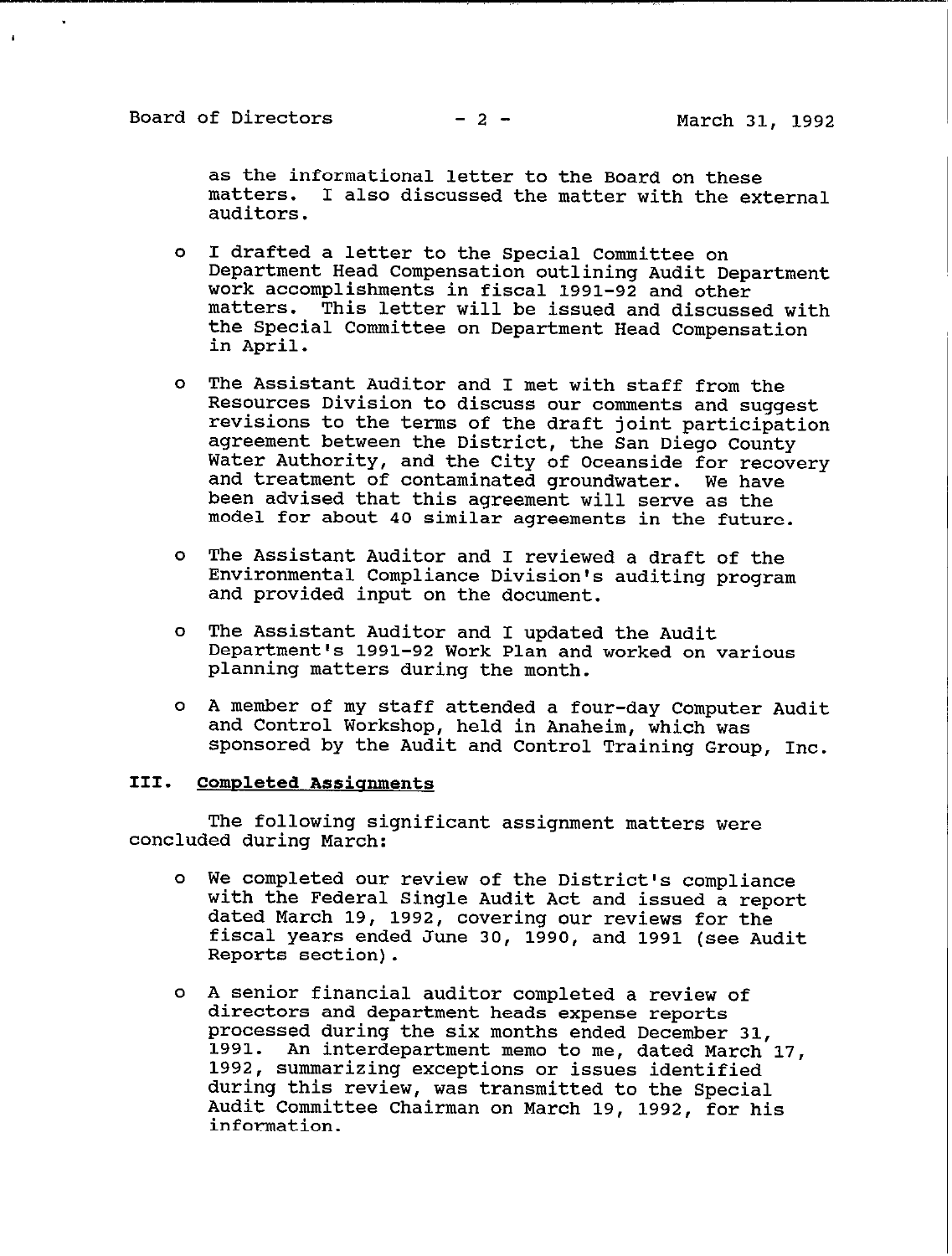**as the informational letter to the Board on these**  I also discussed the matter with the external **auditors.** 

- **0 I drafted a letter to the Special Committee on Department Head Compensation outlining Audit Department work accomplishments in fiscal 1991-92 and other matters. This letter will be issued and discussed with the Special Committee on Department Head Compensation in April.**
- **o The Assistant Auditor and I met with staff from the Resources Division to discuss our comments and suggest revisions to the terms of the draft joint participation agreement between the District, the San Diego County Water Authority, and the City of Oceanside for recovery and treatment of contaminated groundwater. We have been advised that this agreement will serve as the model for about 40 similar agreements in the future.**
- **0 The Assistant Auditor and I reviewed a draft of the Environmental Compliance Division's auditing program and provided input on the document.**
- **o The Assistant Auditor and I updated the Audit Department's 1991-92 Work Plan and worked on various planning matters during the month.**
- **o A member of my staff attended a four-day Computer Audit and Control Workshop, held in Anaheim, which was sponsored by the Audit and Control Training Group, Inc.**

# **III. Completed Assisnments**

**The following significant assignment matters were concluded during March:** 

- **o We completed our review of the District's compliance with the Federal Single Audit Act and issued a report dated March 19, 1992, covering our reviews for the fiscal years ended June 30, 1990, and 1991 (see Audit Reports section).**
- o **A senior financial auditor completed a review of directors and department heads expense reports processed during the six months ended December 31, 1991. An interdepartment memo to me, dated March 17, 1992, summarizing exceptions or issues identified during this review, was transmitted to the Special Audit Committee Chairman on March 19, 1992, for his information.**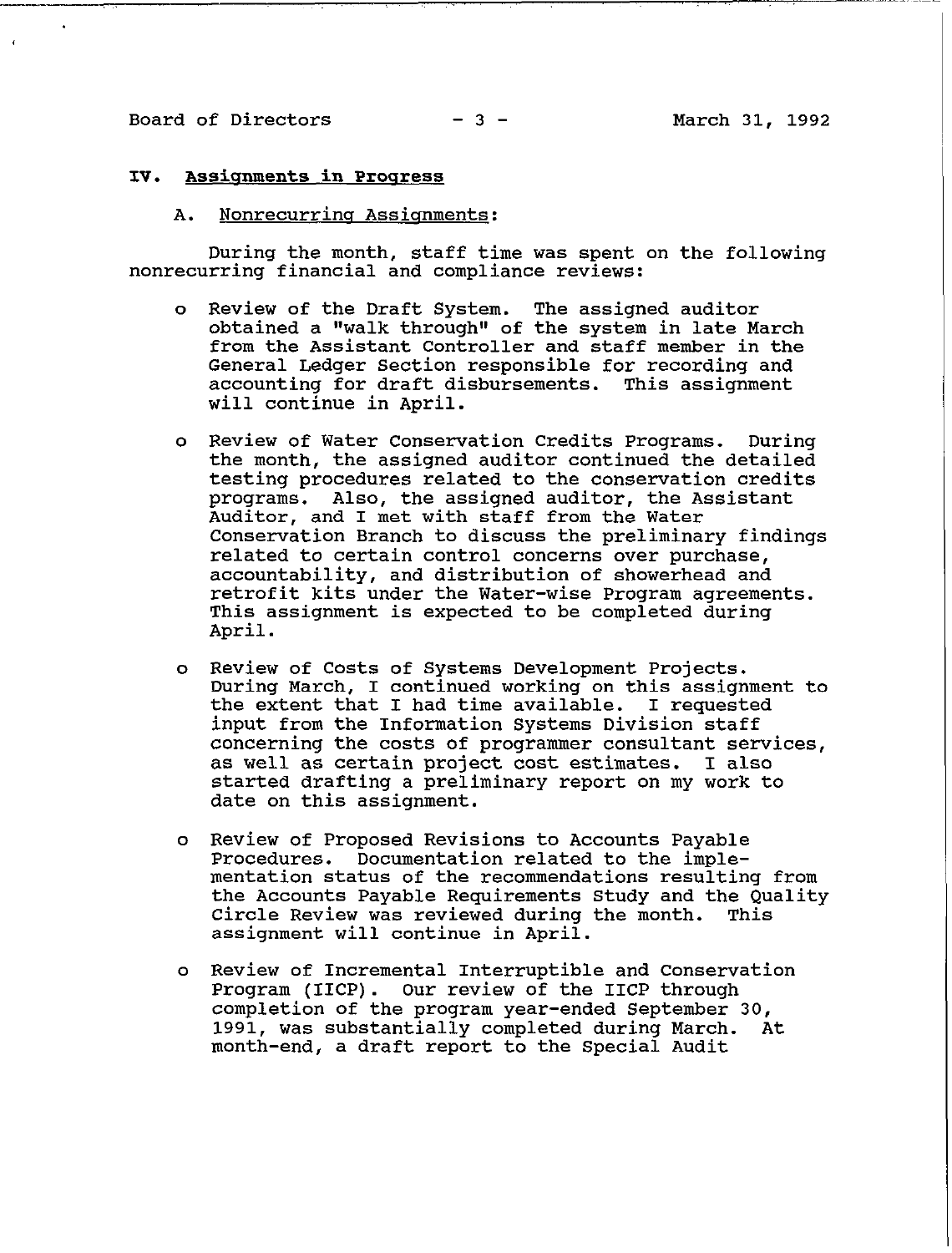Board of Directors -3 - March 31, 1992

### IV. Assignments in Progress

# A. Nonrecurring Assignments:

During the month, staff time was spent on the following nonrecurring financial and compliance reviews:

- o Review of the Draft System. The assigned auditor obtained a "walk through" of the system in late March from the Assistant Controller and staff member in the General Ledger Section responsible for recording and accounting for draft disbursements. This assignment will continue in April.
- o Review of Water Conservation Credits Programs. During the month, the assigned auditor continued the detailed testing procedures related to the conservation credits programs. Also, the assigned auditor, the Assistant Auditor, and I met with staff from the Water Conservation Branch to discuss the preliminary findings related to certain control concerns over purchase, accountability, and distribution of showerhead and retrofit kits under the Water-wise Program agreements. This assignment is expected to be completed during April.
- o Review of Costs of Systems Development Projects. During March, I continued working on this assignment to the extent that I had time available. I requested input from the Information Systems Division staff concerning the costs of programmer consultant services, as well as certain project cost estimates. I also started drafting a preliminary report on my work to date on this assignment.
- o Review of Proposed Revisions to Accounts Payable Procedures. Documentation related to the implementation status of the recommendations resulting from the Accounts Payable Requirements Study and the Quality Circle Review was reviewed during the month. This assignment will continue in April.
- o Review of Incremental Interruptible and Conservation Program (IICP). Our review of the IICP through completion of the program year-ended September 30, 1991, was substantially completed during March. At month-end, a draft report to the Special Audit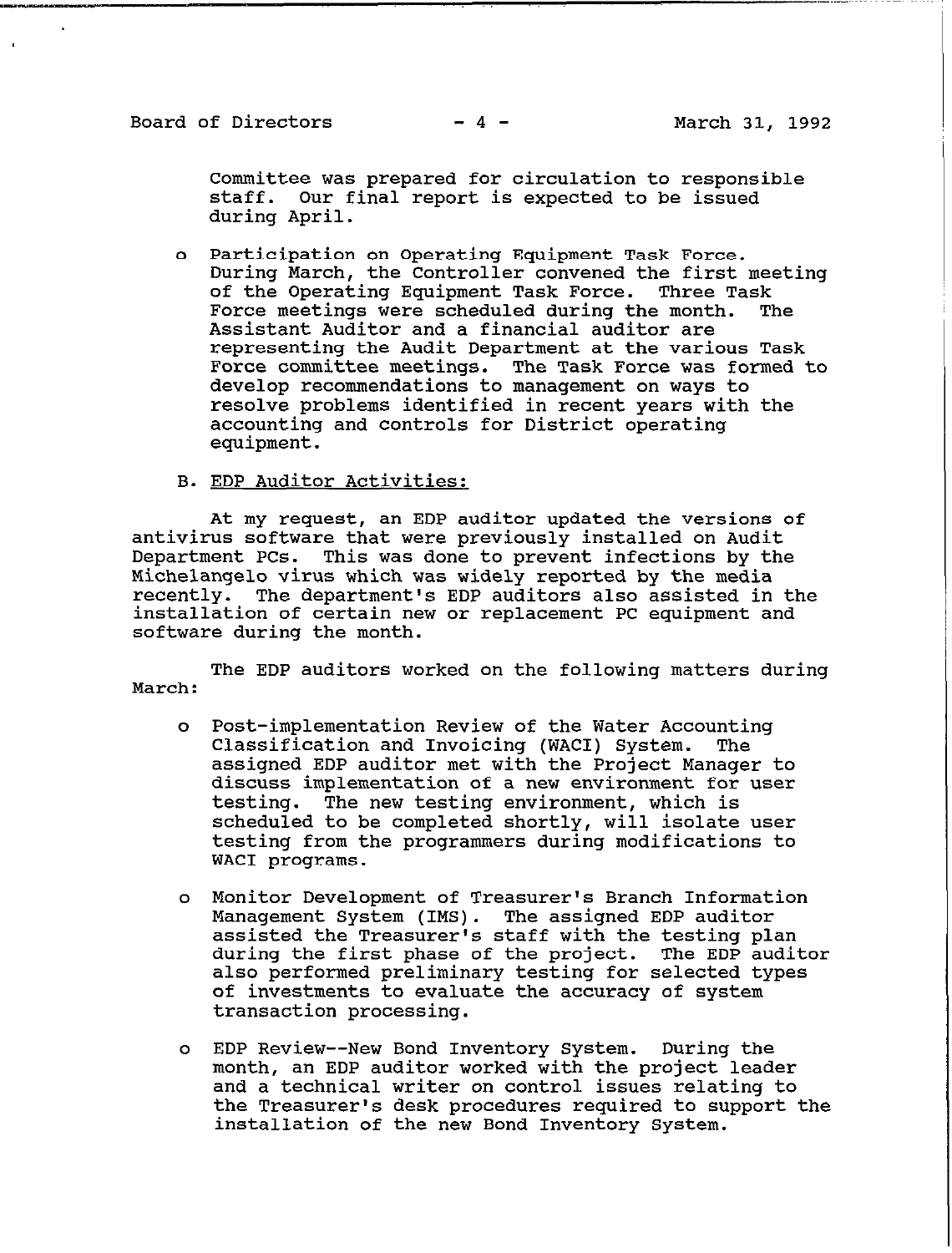$\mathbf{r}$ 

Committee was prepared for circulation to responsible staff. Our final report is expected to be issued during April.

**<sup>0</sup>**Participation on Operating Equipment Task Force. During March, the Controller convened the first meeting of the Operating Equipment Task Force. Three Task Force meetings were scheduled during the month. The Assistant Auditor and a financial auditor are representing the Audit Department at the various Task Force committee meetings. The Task Force was formed to develop recommendations to management on ways to resolve problems identified in recent years with the accounting and controls for District operating equipment.

### B. EDP Auditor Activities:

At my request, an EDP auditor updated the versions of antivirus software that were previously installed on Audit Department PCs. This was done to prevent infections by the Michelangelo virus which was widely reported by the media recently. The department's EDP auditors also assisted in the installation of certain new or replacement PC equipment and software during the month.

The EDP auditors worked on the following matters during March:

- **<sup>0</sup>**Post-implementation Review of the Water Accounting Classification and Invoicing (WACI) System. The assigned EDP auditor met with the Project Manager to discuss implementation of a new environment for user testing. The new testing environment, which is scheduled to be completed shortly, will isolate user testing from the programmers during modifications to WACI programs.
- o Monitor Development of Treasurer's Branch Information Management System (IMS). The assigned EDP auditor assisted the Treasurer's staff with the testing plan during the first phase of the project. The EDP auditor also performed preliminary testing for selected types of investments to evaluate the accuracy of system transaction processing.
- **<sup>0</sup>**EDP Review--New Bond Inventory System. During the month, an EDP auditor worked with the project leader and a technical writer on control issues relating to the Treasurer's desk procedures required to support the installation of the new Bond Inventory System.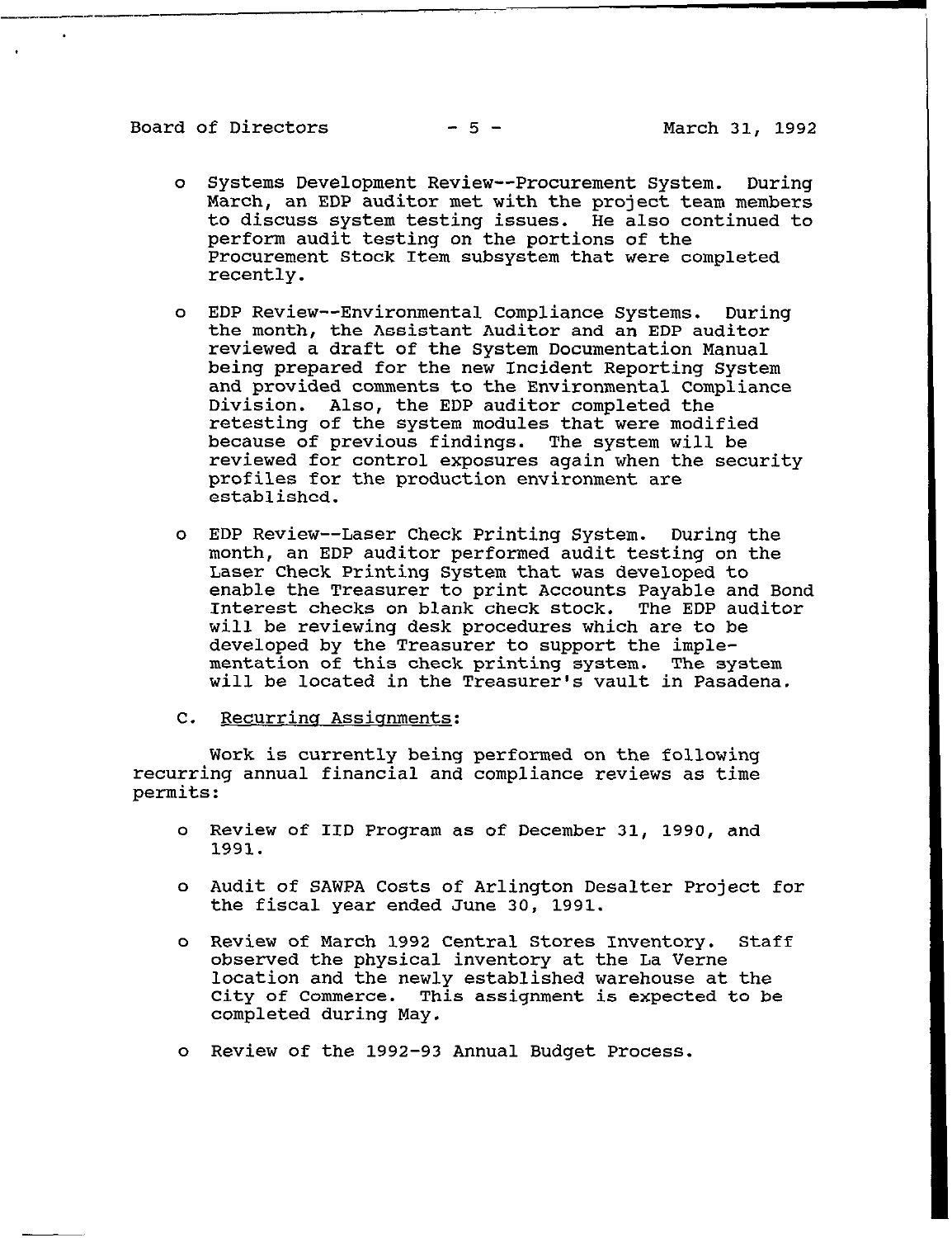- **<sup>0</sup>**Systems Development Review--Procurement System. During March, an EDP auditor met with the project team members to discuss system testing issues. Be also continued to perform audit testing on the portions of the Procurement Stock Item subsystem that were completed recently.
- o EDP Review--Environmental Compliance Systems. During the month, the Assistant Auditor and an EDP auditor reviewed a draft of the System Documentation Manual being prepared for the new Incident Reporting System and provided comments to the Environmental Compliance Also, the EDP auditor completed the retesting of the system modules that were modified because of previous findings. The system will be reviewed for control exposures again when the security profiles for the production environment are established.
- o EDP Review--Laser Check Printing System. During the month, an EDP auditor performed audit testing on the Laser Check Printing System that was developed to enable the Treasurer to print Accounts Payable and Bond Interest checks on blank check stock. The EDP auditor will be reviewing desk procedures which are to be developed by the Treasurer to support the implementation of this check printing system. The system will be located in the Treasurer's vault in Pasadena.
- C. Recurrino Assiqnments:

Work is currently being performed on the following recurring annual financial and compliance reviews as time permits:

- o Review of IID Program as of December 31, 1990, and 1991.
- o Audit of SAWPA Costs of Arlington Desalter Project for the fiscal year ended June 30, 1991.
- Review of March 1992 Central Stores Inventory. Staff  $\mathbf{O}$ observed the physical inventory at the La Verne location and the newly established warehouse at the City of Commerce. This assignment is expected to be completed during May.
- o Review of the 1992-93 Annual Budget Process.